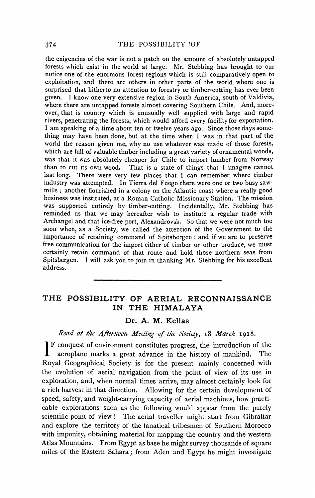the exigencies of the war is not a patch on the amount of absolutely untapped forests which exist in the world at large. Mr. Stebbing has brought to our notice one of the enormous forest regions which is still comparatively open to exploitation, and there are others in other parts of the world where one is surprised that hitherto no attention to forestry or timber-cutting has ever been given. I know one very extensive region in South America, south of Valdivia, where there are untapped forests almost covering Southern Chile. And, moreover, that is country which is unusually well supplied with large and rapid rivers, penetrating the forests, which would afford every facility for exportation. I am speaking of a time about ten or twelve years ago. Since those days something may have been done, but at the time when I was in that part of the world the reason given me, why no use whatever was made of those forests, which are full of valuable timber including a great variety of ornamental woods, was that it was absolutely cheaper for Chile to import lumber from Norway than to cut its own wood. That is a state of things that I imagine cannot last long. There were very few places that I can remember where timber industry was attempted. In Tierra del Fuego there were one or two busy sawmills ; another flourished in a colony on the Atlantic coast where a really good business was instituted, at a Roman Catholic Missionary Station. The mission was supperted entirely by timber-cutting. Incidentally, Mr. Stebbing has reminded us that we may hereafter wish to institute a regular trade with Archangel and that ice-free port, Alexandrovsk. So that we were not much too soon when, as a Society, we called the attention of the Government to the importance of retaining command of Spitsbergen ; and if we are to preserve free communication for the import either of timber or other produce, we must certainly retain command of that route and hold those northern seas from Spitsbergen. I will ask you to join in thanking Mr. Stebbing for his excellent address.

# **THE POSSIBILITY OF AERIAL RECONNAISSANCE IN THE HIMALAYA**

### **Dr. A. M. Kellas**

Read at the Afternoon Meeting of the Society, 18 March **1918**.

1 E' conquest of environment constitutes progress, the introduction of the aeroplane marks a great advance in the history of mankind. The Royal Geographical Society is for the present mainly concerned with the evolution of aerial navigation from the point of view of its use in exploration, and, when normal times arrive, may almost certainly look for a rich harvest in that direction. Allowing for the certain development of speed, safety, and weight-carrying capacity of aerial machines, how practicable explorations such as the following would appear from the purely scientific point of view ! The aerial traveller might start from Gibraltar and explore the territory of the fanatical tribesmen of Southern Morocco with impunity, obtaining material for mapping the country and the western Atlas Mountains. From Egypt as base he might survey thousands of square miles of the Eastern Sahara; from Aden and Egypt he might investigate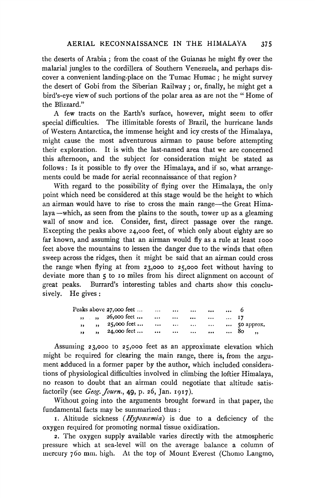the deserts of Arabia ; from the coast of the Guianas he might fly over the malarial jungles to the cordillera of Southern Venezuela, and perhaps discover a convenient landing-place on the Tumac Humac ; he might survey the desert of Gobi from the Siberian Railway ; or, finally, he might get a bird's-eye view of such portions of the polar area as are not the " Home of the Blizzard."

A few tracts on the Earth's surface, however, might seem to offer special difficulties. The illimitable forests of Brazil, the hurricane lands of Western Antarctica, the immense height and icy crests of the Himalaya, might cause the most adventurous airman to pause before attempting their exploration. It is with the last-named area that we are concerned this afternoon, and the subject for consideration might be stated as follows: Is it possible to fly over the Himalaya, and if so, what arrangements could be made for aerial reconnaissance of that region ?

With regard to the possibility of flying over the Himalaya, the only point which need be considered at this stage would be the height to which an airman would have to rise to cross the main range-the Great Himalaya -which, as seen from the plains to the south, tower up as a gleaming wall of snow and ice. Consider, first, direct passage over the range. Excepting the peaks above 24,000 feet, of which only about eighty are so far known, and assuming that an airman would fly as a rule at least 1000 feet above the mountains to lessen the danger due to the winds that often sweep across the ridges, then it might be said that an airman could cross the range when flying at from 23,000 to 25,000 feet without having to deviate more than 5 to 10 miles from his direct alignment on account of great peaks. Burrard's interesting tables and charts show this conclusively. He gives :

|          | Peaks above 27,000 feet        6                  |  |  |  |
|----------|---------------------------------------------------|--|--|--|
|          | $\frac{1}{2}$ , $\frac{1}{26}$ ,000 feet       17 |  |  |  |
|          | ,, ,, 25,000 feet       50 approx.                |  |  |  |
| $12 - 1$ | ,, 24,000 feet      80 ,                          |  |  |  |

Assuming 23,000 to 25,000 feet as an approximate elevation which might be required for clearing the main range, there is, from the argument adduced in a former paper by the author, which included considerations of physiological difficulties involved in climbing the loftier Himalaya, no reason to doubt that an airman could negotiate that altitude satisfactorily (see *Geog. Journ.*, 49, p. 26, Jan. 1917).

Without going into the arguments brought forward in that paper, the fundamental facts may be summarized thus :

1. Altitude sickness (*Hypoxamia*) is due to a deficiency of the oxygen required for promoting normal tissue oxidization.

2. The oxygen supply available varies directly with the atmospheric pressure which at sea-level will on the average balance a column of mercury 760 mm. high. At the top of Mount Everest (Chomo Langmo,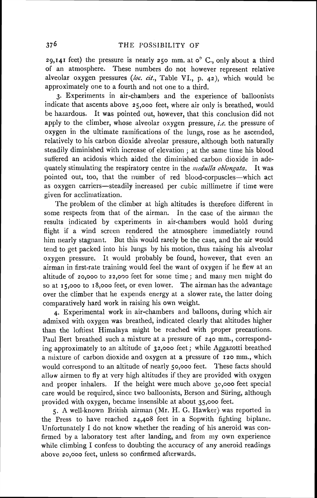29,141 feet) the pressure is nearly 250 mm. at  $o^{\circ}$  C., only about a third of an atmosphere. These numbers do not however represent relative alveolar oxygen pressures (loc. cit., Table VI., p. 42), which would be approximately one to a fourth and not one to a third.

**3.** Experiments in air-chambers and the experience of balloonists indicate that ascents above 25,000 feet, where air only is breathed, would be hazardous. It was pointed out, however, that this conclusion did not apply to the climber, whose alveolar oxygen pressure, *i.e.* the pressure of oxygen in the ultimate ramifications of the lungs, rose as he ascended, relatively to his carbon dioxide alveolar pressure, although both naturally steadily diminished with increase of elevation ; at the same time his blood suffered an acidosis which aided the diminished carbon dioxide in adequately stimulating the respiratory centre in the *medulla oblongata*. It was pointed out, too, that the number of red blood-corpuscles-which act as oxygen carriers-steadily increased per cubic millimetre if time were given for acclimatization.

The problem of the climber at high altitudes is therefore different in some respects from that of the airman. In the case of the airman the results indicated by experiments in air-chambers would hold during flight if a wind screen rendered the atmosphere immediately round him nearly stagnant. But this would rarely be the case, and the air would tend to get packed into his lungs by his motion, thus raising his alveolar oxygen pressure. It would probably be found, however, that even an airman in first-rate training would feel the want of oxygen if he flew at an altitude of  $20,000$  to  $22,000$  feet for some time; and many men might do so at 15,ooo to 18,000 feet, or even lower. The airman has the advantage over the climber that he expends energy at a slower rate, the latter doing comparatively hard work in raising his own weight.

4. Experimental work in air-chambers and balloons, during which air admixed with oxygen was breathed, indicated clearly that altitudes higher than the loftiest Himalaya might be reached with proper precautions. Paul Eert breathed such a mixture at a pressure of 240 mm., corresponding approximately to an altitude of 32,000 feet; while Aggazotti breathed a mixture of carbon dioxide and oxygen at a pressure of 120 mm., which would correspond to an altitude of nearly 50,000 feet. These facts should allow airmen to fly at very high altitudes if they are provided with oxygen and proper inhalers. If the height were much above 3c,ooo feet special care would be required, since two balloonists, Berson and Süring, although provided with oxygen, became insensible at about 35,000 feet.

5. **A** well-known British airman (Mr. H. G. Hawker) was reported in the Press to have reached 24,408 feet in a Sopwith fighting biplane. Unfortunately I do not know whether the reading of his aneroid was confirmed by a laboratory test after landing, and from my own experience while climbing I confess to doubting the accuracy of any aneroid readings above zo,ooo feet, unless so confirmed afterwards.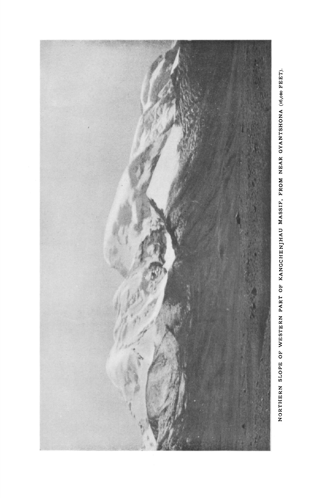

NORTHERN SLOPE OF WESTERN PART OF KANGCHENJHAU MASSIF, FROM NEAR GYANTSHONA (16,000 FEET).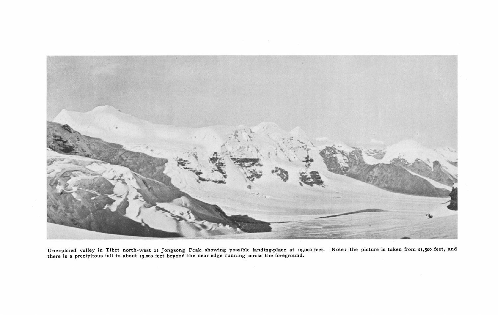

Unexplored valley in Tibet north-west of Jongsong Peak, showing possible landing-place at 19,000 feet. Note: the picture is taken from 21,500 feet, and<br>there is a precipitous fall to about 19,000 feet bevond the near edge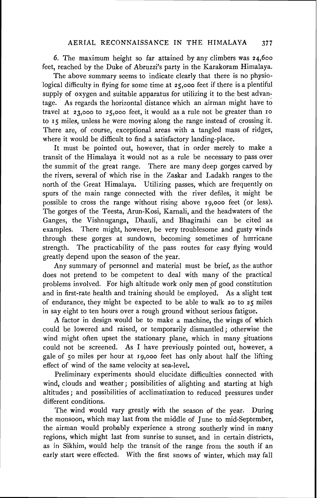*6.* The maximum height so far attained by any climbers was 24,600 feet, reached by the Duke of Abruzzi's party in the Karakoram Himalaya.

The above summary seems to indicate clearly that there is no physiological difficulty in flying for some time at 25,000 feet if there is a plentiful supply of oxygen and suitable apparatus for utilizing it to the best advantage. As regards the horizontal distance which an airman might have to travel at 23,000 to 25,000 feet, it would as a rule not be greater than 10 to 15 miles, unless he were moving along the range instead of crossing it. There are, of course, exceptional areas with a tangled mass of ridges, where it would be difficult to find a satisfactory landing-place.

It must be pointed out, however, that in order merely to make a transit of the Himalaya it would not as a rule be necessary to pass over the summit of the great range. There are many deep gorges carved by the rivers, several of which rise in the Zaskar and Ladakh ranges to the north of the Great Himalaya. Utilizing passes, which are frequently on spurs of the main range connected with the river defiles, it might be possible to cross the range without rising above 19,000 feet (or less). The gorges of the Teesta, Arun-Kosi, Karnali, and the headwaters of the Ganges, the Vishnuganga, Dhauli, and Bhagirathi can be cited as examples. There might, however, be very troublesome and gusty winds through these gorges at sundown, becoming sometimes of hurricane strength. The practicability of the pass routes for easy flying would greatly depend upon the season of the year.

Any summary of personnel and material must be brief, as the author does not pretend to be competent to deal with many of the practical problems involved. For high altitude work only men of good constitution and in first-rate health and training should be employed. As a slight test of endurance, they might be expected to be able to walk 20 to 25 miles in say eight to ten hours over a rough ground without serious fatiguc.

A factor in design would be to make a machine, the wings of which could be lowered and raised, or temporarily dismantled; otherwise the wind might often upset the stationary plane, which in many situations could not be screened. As I have previously pointed out, however, a gale of 50 miles per hour at 19,000 feet has only about half the lifting effect of wind of the same velocity at sea-level.

Preliminary experiments should elucidate difficulties connected with wind, clouds and weather; possibilities of alighting and starting at high altitudes; and possibilities of acclimatization to reduced pressures under different conditions.

The wind would vary greatly with the season of the year. During the monsoon, which may last from the middle of June to mid-September, the airman would probably experience a strong southerly wind in many regions, which might last from sunrise to sunset, and in certain districts, as in Sikhim, would help the transit of the range from the south if an early start were effected. With the first snows of winter, which may fall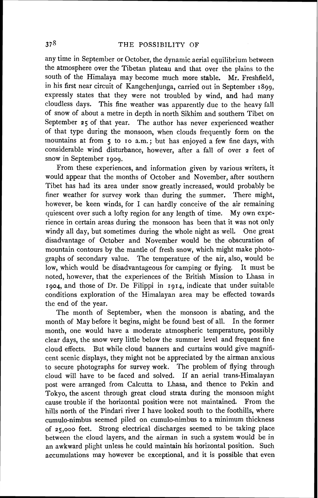any time in September or October, the dynamic aerial equilibrium between the atmosphere over the Tibetan plateau and that over the plains to the south of the Himalaya may become much more stable. Mr. Freshfield, in his first near circuit of Kangchenjunga, carried out in September 1899, expressly states that they were not troubled by wind, and had many cloudless days. This fine weather was apparently due to the heavy fall of snow of about a metre in depth in north Sikhim and southern Tibet on September 25 of that year. The author has never experienced weather of that type during the monsoon, when clouds frequently form on the mountains at from **5** to 10 a.m.; but has enjoyed a few fine days, with considerable wind disturbance, however, after a fall of over **2** feet of snow in September 1909.

From these experiences, and information given by various writers, it would appear that the months of October and November, after southern Tibet has had its area under snow greatly increased, would probably be finer weather for survey work than during the summer. There might, however, be keen winds, for I can hardly conceive of the air remaining quiescent over such a lofty region for any length of time. My own experience in certain areas during the monsoon has been that it was not only windy all day, but sometimes during the whole night as well. One great disadvantage of October and November would be the obscuration of mountain contours by the mantle of fresh snow, which might make photographs of secondary value. The temperature of the air, also, would be low, which would be disadvantageous for camping or flying. It must be noted, however, that the experiences of the British Mission to Lhasa in 1904, and those of Dr. De Filippi in 1914, indicate that under suitable conditions exploration of the Himalayan area may be effected towards the end of the year.

The month of September, when the monsoon is abating, and the month of May before it begins, might be found best of all. In the former month, one would have a moderate atmospheric temperature, possibly clear days, the snow very little below the summer level and frequent fine cloud effects. But while cloud banners and curtains would give magnificent scenic displays, they might not be appreciated by the airman anxious to secure photographs for survey work. The problem of flying through cloud will have to be faced and solved. If an aerial trans-Himalayan post were arranged from Calcutta to Lhasa, and thence to Pekin and Tokyo, the ascent through great cloud strata during the monsoon might cause trouble if the horizontal position were not maintained. From the hills north of the Pindari river 1 have looked south to the foothills, where cumulo-nimbus seemed piled on cumulo-nimbus to a minimum thickness of 25,000 feet. Strong electrical discharges seemed to be taking place between the cloud layers, and the airman in such a system would be in an awkward plight unless he could maintain his horizontal position. Such accumulations may however be exceptional, and it is possible that even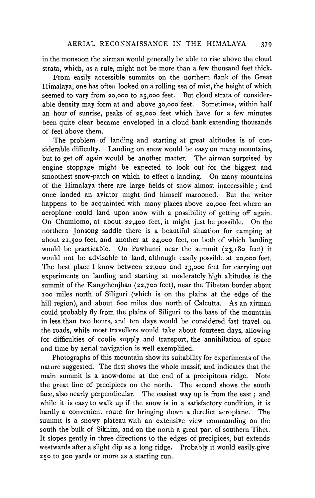in the monsoon the airman would generally be able to rise above the cloud strata, which, as a rule, might not be more than a few thousand feet thick.

From easily accessible summits on the northern flank of the Great Himalaya, one has often looked on a rolling sea of mist, the height of which seemed to vary from 20,000 to 25,000 feet. But cloud strata of considerable density may form at and above 30,000 feet. Sometimes, within half an hour of sunrise, peaks of 25,000 feet which have for a few minutes been quite clear became enveloped in a cloud bank extending thousands of feet above them.

The problem of landing and starting at great altitudes is of considerable difficulty. Landing on snow would be easy on many mountains, but to get off again would be another matter. The airman surprised by engine stoppage might be expected to look out for the biggest and smoothest snow-patch on which to effect a landing. On many mountains of the Himalaya there are large fields of snow almost inaccessible; and once landed an aviator might find himself marooned. But the writer happens to be acquainted with many places above zo,ooo feet where an aeroplane could land upon snow with a possibility of getting off again. On Chumiomo, at about 22,400 feet, it might just be possible. On the northern Jonsong saddle there is a beautiful situation for camping at about  $21,500$  feet, and another at  $24,000$  feet, on both of which landing would be practicable. On Pawhunri near the summit (23,180 feet) it would not be advisable to land, although easily possible at 20,000 feet. The best place I know between 22,000 and 23,000 feet for carrying out experiments on landing and starting at moderately high altitudes is the summit of the Kangchenjhau (22,700 feet), near the Tibetan border about IOO miles north of Siliguri (which is on the plains at the edge of the hill region), and about 600 miles due north of Calcutta. As an airman could probably fly from the plains of Siliguri to the base of the mountain in less than two hours, and ten days would be considered fast travel on the roads, while most travellers would take about fourteen days, allowing for difficulties of coolie supply and transport, the annihilation of space and time by aerial navigation is well exemplified.

Photographs of this mountain show its suitability for experiments of the nature suggested. The first shows the whole massif, and indicates that the main summit is a snow-dome at the end of a precipitous ridge. Note the great line of precipices on the north. The second shows the south face, also nearly perpendicular. The easiest way up is from the east ; and while it is easy to walk up if the snow is in a satisfactory condition, it is hardly a convenient route for bringing down a derelict aeroplane. The summit is a snowy plateau with an extensive view commanding on the south the bulk of Sikhim, and on the north a great part of southern Tibet. It slopes gently in three directions to the edges of precipices, but extends westwards after a slight dip as a long ridge. Probably it would easily-give 250 to 300 yards or more as a starting run.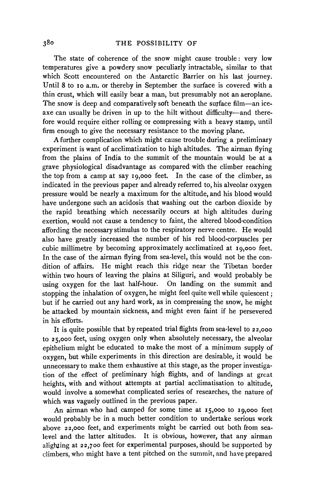The state of coherence of the snow might cause trouble: very low temperatures give a powdery snow peculiarly intractable, similar to that which Scott encountered on the Antarctic Barrier on his last journey. Until 8 to 10 a.m. or thereby in September the surface is covered with a thin crust, which will easily bear a man, but presumably not an aeroplane. The snow is deep and comparatively soft beneath the surface film-an iceaxe can usually be driven in up to the hilt without difficulty--- and therefore would require either rolling or compressing with a heavy stamp, until firm enough to give the necessary resistance to the moving plane.

**A** further complication which might cause trouble during a preliminary experiment is want of acclimatization to high altitudes. The airman flying from the plains of India to the summit of the mountain would be at a grave physiological disadvantage as compared with the climber reaching the top from a camp at say 19,000 feet. In the case of the climber, as indicated in the previous paper and already referred to, his alveolar oxygen pressure would be nearly a maximum for the altitude, and his blood would have undergone such an acidosis that washing out the carbon dioxide by the rapid breathing which necessarily occurs at high altitudes during exertion, would not cause a tendency to faint, the altered blood-condition affording the necessary stimulus to the respiratory nerve centre. He would also have greatly increased the number of his red blood-corpuscles per cubic millimetre by becoming approximately acclimatized at 19,000 feet. In the case of the airman flying from sea-level, this would not be the condition of affairs. He might reach this ridge near the Tibetan border within two hours of leaving the plains at Siliguri, and would probably be using oxygen for the last half-hour. On landing on the summit and stopping the inhalation of oxygen, he might feel quite well while quiescent : but if he carried out any hard work, as in compressing the snow, he might be attacked by mountain sickness, and might even faint if he persevered in his efforts.

It is quite possible that by repeated trial flights from sea-level to 22,000 to 25,000 feet, using oxygen only when absolutely necessary, the alveolar epithelium might be educated to make the most of a minimum supply of oxygen, but while experiments in this direction are desirable, it would be unnecessary to make them exhaustive at this stage, as the proper investigation of the effect of preliminary high flights, and of landings at great heights, with and without attempts at partial acclimatisation to altitude, would involve **a** somewhat complicated series of researches, the nature of which was vaguely outlined in the previous paper.

An airman who had camped for some time at 15,000 to 19,000 feet would probably be in a much better condition to undertake serious work above 22,000 feet, and experiments might be carried out both from sealevel and the latter altitudes. It is obvious, however, that any airman aligbing at 22,700 feet for experimental purposes, should be supported by climbers, who might have a tent pitched on the summit, and have prepared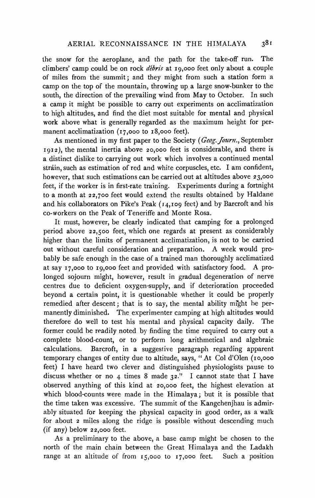the snow for the aeroplane, and the path for the take-off run. The climbers' camp could be on rock *débris* at 19,000 feet only about a couple of miles from the summit; and they might from such a station form a camp on the top of the mountain, throwing up a large snow-bunker to the south, the direction of the prevailing wind from May to October. In such a camp it might be possible to carry out experiments on acclimatization to high altitudes, and find the diet most suitable for mental and physical work above what is generally regarded as the maximum height for permanent acclimatization (17,000 to 18,000 feet).

As mentioned in my first paper to the Society *(Geog. Journ.*, September 1912), the mental inertia above zo,ooo feet is considerable, and there is a distinct dislike to carrying out work which involves a continued mental strain, such as estimation of red and white corpuscles, etc. I am confident, however, that such estimations can be carried out at altitudes above 23,000 feet, if the worker is in first-rate training. Experiments during a fortnight to a month at 22,700 feet would extend the results obtained by Haldane and his collaborators on Pike's Peak (14,109 feet) and by Barcroft and his co-workers on the Peak of Teneriffe and Monte Rosa.

It must, however, be clearly indicated that camping for a prolonged period above 22,500 feet, which one regards at present as considerably higher than the limits of permanent acclimatization, is not to be carried out without careful consideration and preparation. A week would probably be safe enough in the case of a trained man thoroughly acclimatized at say 17,000 to rg,ooo feet and provided with satisfactory food. **A** prolonged sojourn might, however, result in gradual degeneration of nerve centres due to deficient oxygen-supply, and if deterioration proceeded beyond a certain point, it is questionable whether it could be properly remedied after descent; that is to say, the mental ability might he permanently diminished. The experimenter camping at high altitudes would therefore do well to test his mental and physical capacity daily. The former could he readily noted by finding the time required to carry out a complete blood-count, or to perform long arithmetical and algebraic calculations. Barcroft, in a suggestive paragraph regarding apparent temporary changes of entity due to altitude, says, "At Col d'Olen ( $10,000$ feet) I have heard two clever and distinguished physiologists pause to discuss whether or no 4 times 8 made 32." I cannot state that I have observed anything of this kind at 20,000 feet, the highest elevation at which blood-counts were made in the Himalaya; but it is possible that the time taken was excessive. The summit of the Kangchenjhau is admirably situated for keeping the physical capacity in good order, as a walk for about 2 miles along the ridge is possible without descending much (if any) below 22,000 feet.

As a preliminary to the above, a base camp might be chosen to the north of the main chain between the Great Himalaya and the Ladakh range at an altitude of from 15,000 to 17,000 feet. Such a position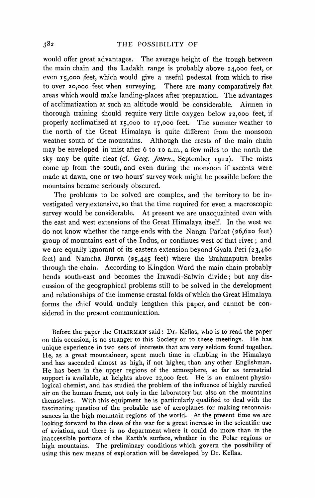would offer great advantages. The average height of the trough between the main chain and the Ladakh range is probably above 14,000 feet, or even 15,000 feet, which would give a useful pedestal from which to rise to over 20,000 feet when surveying. There are many comparatively flat areas which would make landing-places after preparation. The advantages of acclimatization at such an altitude would be considerable. Airmen in thorough training should require very little oxygen below 22,000 feet, if properly acclimatized at 15,000 to 17,000 feet. The summer weather to the north of the Great Himalaya is quite different from the monsoon weather south of the mountains. Although the crests of the main chain may be enveloped in mist after 6 to 10 a.m., a few miles to the north the sky may be quite clear (cf. Geog. Journ., September 1912). The mists come up from the south, and even during the monsoon if ascents were made at dawn, one or two hours' survey work might be possible before the mountains became seriously obscured.

'The problems to be solved are complex, and the territory to be investigated verylextensive, so that the time required for even a macroscopic survey would be considerable. At present we are unacquainted even with the east and west extensions of the Great Himalaya itself. In the west we do not know whether the range ends with the Nanga Parbat (26,620 feet) group of mountains east of the Indus, or continues west of that river ; and we are equally ignorant of its eastern extension beyond Gyala Peri (23,460) feet) and Namcha Burwa (25,445 feet) where the Brahmaputra breaks through the chain. According to Kingdon Ward the main chain probably bends south-east and becomes the Irawadi-Salwin divide; but any discussion of the geographical problems still to be solved in the development and relationships of the immense crustal folds ofwhich the Great Himalaya forms the chief would unduly lengthen this paper, and cannot be considered in the present communication.

Before the paper the CHAIRMAN said : Dr. Kellas, who is to read the paper on this occasion, is no stranger to this Society or to these meetings. He has unique experience in two sets of interests that are very seldom found together. He, as a great mountaineer, spent much time in climbing in the Himalaya and has ascended almost as high, if not higher, than any other Englishman. He has been in the upper regions of the atmosphere, so far as terrestrial support is available, at heights above 22,000 feet. He is an eminent physiological chemist, and has studied the problem of the influence of highly rarefied air on the human frame, not only in the laboratory but also on the mountains themselves. With this equipment he is particularly qualified to deal with the fascinating question of the probable use of aeroplanes for making reconnaissances in the high mountain regions of the world. At the present time we are looking forward to the close of the war for a great increase in the scientific use of aviation, and there is no department where it could do more than in the inaccessible portions of the Earth's surface, whether in the Polar regions or high mountains. The preliminary conditions which govern the possibility of using this new means of exploration will be developed by Dr. Kellas.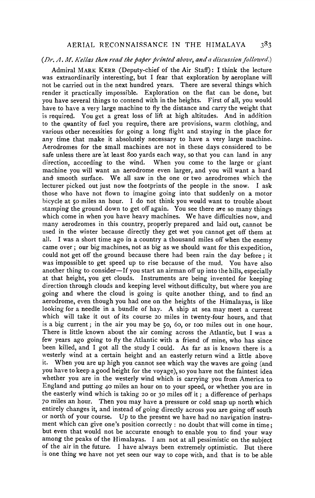#### (Dr, A. M. Kellas then read the paper printed above, and a discussion followed.)

Admiral MARK KERR (Deputy-chief of the Air Staff): I think the lecture was extraordinarily interesting, but I fear that exploration by aeroplane will not be carried out in the next hundred years. There are several things which render it practically impossible. Exploration on the flat can be done, but you have several things to contend with in the heights. First of all, you would have to have a very large machine to fly the distance and carry the weight that is required. You get a great loss of lift at high altitudes. And in addition to the quantity of fuel you require, there are provisions, warm clothing, and various bther necessities for going a long flight and staying in the place for any time that make it absolutely necessary to have a very large machine. Aerodromes for the small machines are not in these days considered to be safe unless there are at least 800 yards each way, so that you can land in any direction, according to the wind. When you come to the large or giant When you come to the large or giant. machine you will want an aerodrome even larger, and you will want a hard and smooth surface. We all saw in the one or two aerodromes which the lecturer picked out just now the footprints of the people in the snow. I ask those who have not flown to imagine going into that suddenly on a motor bicycle at 50 miles an hour. I do not think you would want to trouble about stamping the ground down to get off again. You see there are so many things which come in when you have heavy machines. We have difficulties now, and many aerodromes in this country, properly prepared and laid out, cannot be used in the winter because directly they get wet you cannot get off them at all. I was a short time ago in a country a thousand miles off when the enemy came over ; our big machines, not as big as we should want for this expedition, could not get off the ground because there had been rain the day before; it was impossible to get speed up to rise because of the mud. You have also another thing to consider-If you start an airman off up into the hills, especially at that height, you get clouds. Instruments are being invented for keeping direction through clouds and keeping level without difficulty, but where you are going and where the cloud is going is quite another thing, and to find an aerodrome, even though you had one on the heights of the Himalayas, is like looking for a needle in a bundle of hay. A ship at sea may meet a current which will take it out of its course zo miles in twenty-four hours, and that is a big current; in the air you may be 50, 60, or loo miles out in one hour. There is little known about the air coming across the Atlantic, but I was a few years ago going to fly the Atlantic with a friend of mine, who has since been killed, and I got all the study I could. As far as is known there is a westerly wind at a certain height and an easterly return wind a little above it. When you are up high you cannot see which way the waves are going (and you have to keep agood height for the voyage), so you have not the faintest idea whether you are in the westerly wind which is carrying you from America to England and putting **40** miles an hour on to your speed, or whether you are in the easterly wind which is taking *20* or 30 miles off it ; a difference of perhaps **70** miles an hour. Then you may have a pressure or cold snap up north which entirely changes it, and instead of going directly across you are going off south or north of your course. Up to the present we have had no navigation instrument which can give one's position correctly : no doubt that will come in time; but even that would not be accurate enough to enable you to find your way among the peaks of the Himalayas. I am not at all pessimistic on the subject of the air in the future. I have always been extremely optimistic. But there is one thing we have not yet seen our way to cope with, and that is to be able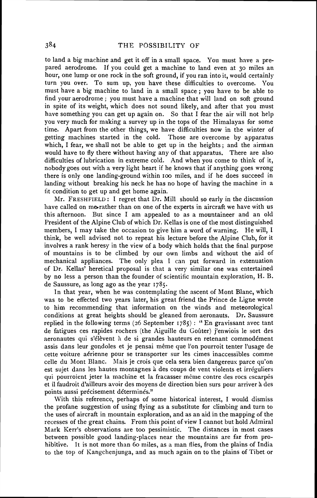to land a big machine and get it off in a small space. You must have a prepared aerodrome. If you could get a machine to land even at 30 miles an hour, one lump or one rock in the soft ground, if you ran into it, would certainly turn you over. To sum up, you have these difficulties to overcome. You must have a big machine to land in a small space; you have to be able to find your aerodrome ; you must have a machine that will land on soft ground in spite of its weight, which does not sound likely, and after that you must have something you can get up again on. So that I fear the air will not help you very much for making a survey up in the tops of the Himalayas for some time. Apart from the other things, we have difficulties now in the winter of getting machines started in the cold. Those are overcome by apparatus which, I fear, we shall not be able to get up in the heights; and the airman would have to fly there without having any of that apparatus. There are also difficulties of lubrication in extreme cold. And when you come to think of it, nobody goes out with a very light heart if he knows that if anything goes wrong there is only one landing-ground within **xoo** miles, and if he does succeed in landing without breaking his neck he has no hope of having the machine in a fit condition to get up and get home again.

Mr. FRESHFIELD: I regret that Dr. Mill should so early in the discussion have called on me-rather than on one of the experts in aircraft we have with us this afternoon. But since I am appealed to as a mountaineer and an old President of the Alpine Club of which Dr. Kellas is one of the most distinguished members, I may take the occasion to give him a word of warning. He will, I think, be well advised not to repeat his lecture before the Alpine Club, for it involves a rank heresy in the view of a body which holds that the final purpose of mountains is to be climbed by our own limbs and without the aid of mechanical appliances. The only plea I can put forward in extenuation of Dr. Kellas' heretical proposal is that a very similar one was entertained by no less a person than the founder of scientific mountain exploration, H. B. de Saussure, as long ago as the year 1785.

In that year, when he was contemplating the ascent of Mont Blanc, which was to be effected two years later, his great friend the Prince de Ligne wrote to him recommending that information on the winds and meteorological conditions at great heights should be gleaned from aeronauts. Dr. Saussure replied in the following terms *(26* September 1785) : "En gravissant avec tant de fatigues ces rapides rochers (the Aiguille du Goûter) j'enwiois le sort des aeronautes qui s'élèvent à de si grandes hauteurs en retenant commodément assis dans leur gondoles et je pensai même que l'on pourroit tenter l'usage de cette voiture aérienne pour se transporter sur les cimes inaccessibles comme celle du Mont Blanc. Mais je crois que cela sera bien dangereux parce qu'on est sujet dans les hautes montagnes à des coups de vent violents et irréguliers qui pourroient jeter la machine et la fracasser même contre des rocs escarpés et il faudroit d'ailleurs avoir des moyens de direction bien surs pour arriver *B* des points aussi précisement déterminés."

With this reference, perhaps of some historical interest, I would dismiss the profane suggestion of using flying as a substitute for climbing and turn to the uses of aircraft in mountain exploration, and as an aid in the mapping of the recesses of the great chains. From this point of view I cannot but hold Admiral Mark Kerr's observations are too pessimistic. The distances in most cases between possible good landing-places near the mountains are far from prohibitive. It is not more than 60 miles, as a man flies, from the plains of India to the top of Kangchenjunga, and as much again on to the plains of Tibet or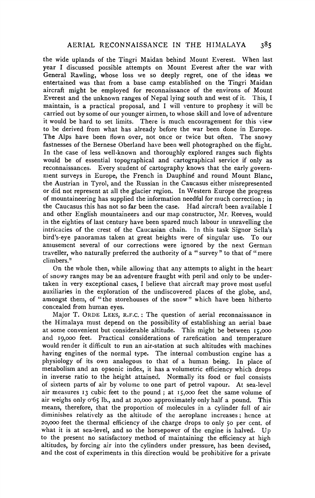the wide uplands of the Tingri Maidan behind Mount Everest. When last year I discussed possible attempts on Mount Everest after the war with General Rawling, whose loss we so deeply regret, one of the ideas we entertained was that from a base camp established on the Tingri Maidan aircraft might be employed for reconnaissance of the environs of Mount Everest and the unknown ranges of Nepal lying south and west of it. This, I maintain, is a practical proposal, and I will venture to prophesy it will be carried out by some of our younger airmen, to whose skill and love of adventure it would be hard to set limits. There is much encouragement for this view to be derived from what has already before the war been done in Europe. The Alps have been flown over, not once or twice but often. The snowy fastnesses of the Bernese Oberland have been well photographed on the flight. In the case of less well-known and thoroughly explored ranges such flights would be of essential topographical and cartographical service if only as reconnaissances. Every student of cartography knows that the early government surveys in Europe, the French in Dauphine' and round Mount Blanc, the Austrian in Tyrol, and the Russian in the Caucasus either misrepresented or did not represent at all the glacier region. In Western Europe the progress of mountaineering has supplied the information needful for much correction ; in the Caucasus this has not so far been the case. Had aircraft been available I and other English mountaineers and our map constructor, Mr. Reeves, would in the eighties of last century have been spared much labour in unravelling the intricacies of the crest of the Caucasian chain. In this task Signor Sella's bird's-eye panoramas taken at great heights were of singular use. To our amusement several of our corrections were ignored by the next German traveller, who naturally preferred the authority of a "survey" to that of "mere climbers."

On the whole then, while allowing that any attempts to alight in the heartof snowy ranges may be an adventure fraught with peril and only to be undertaken in very exceptional cases, I believe that aircraft may prove most useful auxiliaries in the exploration of the undiscovered places of the globe, and, amongst them, of "the storehouses of the snow" which have been hitherto concealed from human eyes.

Major T. ORDE LEES, R.F.C. : The question of aerial reconnaissance in the Himalaya must depend on the possibility of establishing an aerial base at some convenient but considerable altitude. This might be between  $15,000$ and **19,000** feet. Practical considerations of rarefication and temperature would render it difficult to run an air-station at such altitudes with machines having engines of the normal type. The internal combustion engine has a physiology of its own analogous to that of a human being. In place of metabolism and an opsonic index, it has a volumetric efficiency which drops in inverse ratio to the height attained. Normally its food or fuel consists of sixteen parts of air by volume to one part of petrol vapour. At sea-level air measures 13 cubic feet to the pound ; at I 5,000 feet the same volume of air weighs only 0'65 Ib., and at zo,ooo approximately only half a pound. This means, therefore, that the proportion of molecules in a cylinder full of air diminishes relatively as the altitude of the aeroplane increases ; hence at **20,000** feet the thermal efficiency of the charge drops to only jo per cent. of what it is at sea-level, and so the horsepower of the engine is halved. Up to the present no satisfactory method of maintaining the efficiency at high altitudes, by forcing air into the cylinders under pressure, has been devised, and the cost of experiments in this direction would be prohibitive for a private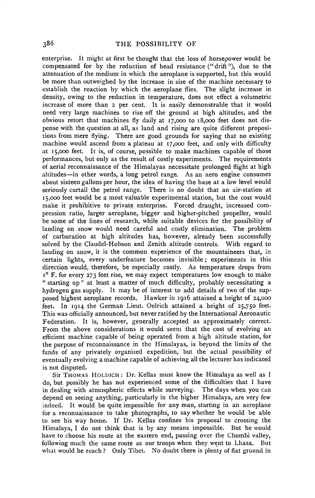enterprise. It might at first be thought that the loss of horsepower would be compensated for by the reduction of head resistance ("drift "), due to the attenuation of the medium in which the aeroplane is supported, but this would be more than outweighed by the increase in size of the machine necessary to establish the reaction by which the aeroplane flies. The slight increase in density, owing to the reduction in temperature, does not effect a volumetric increase of more than 2 per cent. It is easily demonstrable that it would need very large machines to rise off the ground at high altitudes, and the obvious retort that machines fly daily at 17,000 to 18,000 feet does not dispense with the question at all, as land and rising are quite different propositions from mere flying. There are good grounds for saying that no existing machine would ascend from a plateau at 17,000 feet, and only with difficulty at 15,ooo feet. It is, of course, possible to make machines capable of those performances, but only as the result of costly experiments. The requirements of aerial reconnaissance of the Himalayas necessitate prolonged flight at high altitudes-in other words, a long petrol range. As an aero engine consumes about sixteen gallons per hour, the idea of having the base at a low level would seriously curtail the petrol range. There is no doubt that an air-station at 15,000 feet would be a most valuable experimental station, but the cost would make it prohibitive to private enterprise. Forced draught, increased compression ratio, larger aeroplane, bigger and higher-pitched propeller, would be some of the lines of research, while suitable devices for the possibility of landing on snow would need careful and costly elimination. The problem of carburation at high altitudes has, however, already been successfully solved by the Claudel-Hobson and Zenith altitude controls. With regard to landing on snow, it is the common experience of the mountaineers that, in certain lights, every underfeature becomes invisible ; experiments in this direction would, therefore, be especially costly. As temperature drops from I' F. for every **2: j** feet rise, we may expect temperatures low enough to make " starting up " at least a matter of much difficulty, probably necessitating a hydrogen gas supply. It may be of interest to add details of two of the supposed-highest aeroplane records. Hawker in 1916 attained a height of 24,000 feet. In I914 the German Lieut. Oelrich attained a height of 25,750 feet. This was officially announced, but never ratified by the International Aeronautic Federation. It is, however, generally accepted as approximately correct. From the above considerations it would seem that the cost of evolving an efficient machine capable of being operated from a high altitude station, for the purpose of reconnaissance in the Himalayas, is beyond the limits of the funds of any privately organized expedition, but the actual possibility of eventually evolving a machine capable of achieving all the lecturer has indicated is not disputed.

Sir THOMAS HOLDICH : Dr. Kellas must know the Himalaya as well as **<sup>I</sup>** do, but possibly he has not experienced some of the difficulties that I have in dealing with atmospheric effects while surveying. The days when you can depend on seeing anything, particularly in the higher Himalaya, are very few indeed. It would be quite impossible for any man, starting in an aeroplane for a reconnaissance to take photographs, to say whether he would be able to see his way home. If Dr. Kellas confines his proposal to crossing the Himalaya, I do not think that is by any means impossible. But he would have to choose his route at the eastern end, passing over the Chumbi valley, following much the same route as our troops when they went to Lhasa. But what would he reach? Only Tibet. No doubt there is plenty of flat ground in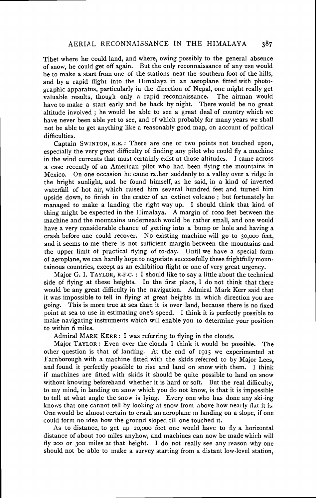Tibet where he could land, and where, owing possibly to the general absence of snow, he could get off again. But the only reconnaissance of any use would be to make a start from one of the stations near the southern foot of the hills, and by a rapid flight into the Himalaya in an aeroplane fitted with photographic apparatus, particularly in the direction of Nepal, one might really get valuable results, though only **a** rapid reconnaissance. The airman would have to make a start early and be back by night. There would be no great altitude involved ; he would be able to see **a** great deal of country which we have never been able yet to see, and of which probably for many years we shall not be able to get anything like a reasonably good map, on account of political difficulties.

Captain SWINTON, **R.E.:** There are one or two points not touched upon, especially the very great difficulty of finding any pilot who could fly a machine in the wind currents that must certainly exist at those altitudes. I came across a case recently of an American pilot who had been flying the mountains in Mexico. On one occasion he came rather suddenly to a valley over a ridge in the bright sunlight, and he found himself, as he said, in a kind of inverted waterfall of hot air, which raised him several hundred feet and turned him upside down, to finish in the crater of an extinct volcano ; but fortunately he managed to make a landing the right way up. I should think that kind of thing might be expected in the Himalaya. A margin of **rooo** feet between the machine and the mountains underneath would be rather small, and one would have a very considerable chance of getting into a bump or hole and having a crash before one could recover. No existing machine will go to 30,000 feet, and it seems to me there is not sufficient margin between the mountains and the upper limit of practical flying of to-day. Until we have a special form of aeroplane, we can hardly hope to negotiate successfully these frightfully mountainous countries, except as an exhibition flight or one of very great urgency.

Major G. I. TAYLOR, R.F.C. : I should like to say a little about the technical side of flying at these heights. In the first place, I do not think that there would be any great difficulty in the navigation. Admiral Mark Kerr said that it was impossible to tell in flying at great heights in which direction you are going. This is more true at sea than it is over land, because there is no fixed point at sea to use in estimating one's speed. I think it is perfectly possible to make navigating instruments which will enable you to determine your position to within 6 miles.

Admiral MARK KERR: I was referring to flying in the clouds.

Major TAYLOR: Even over the clouds I think it would be possible. The other question is that of landing. At the end of **1915** we experimented at Farnborough with a machine fitted with the skids referred to by Major Lees. and found it perfectly possible to rise and land on snow with them. I think if machines are fitted with skids it should be quite possible to land on snow without knowing beforehand whether it is hard or soft. But the real difficulty, to my mind, in landing on snow which you do not know, is that it is impossible to tell at what angle the snow is lying. Every one who has done any ski-ing knows that one cannot tell by looking at snow from above how nearly flat it is. One would be almost certain to crash an aeroplane In landing on a slope, if one could form no idea how the ground sloped till one touched it.

As to distance, to get up 20,000 feet one would have to fly a horizontal distance of about loo miles anyhow, and machines can now be made which will fly zoo or 300 miles at that height. I do not really see any reason why one should not be able to make a survey starting from a distant low-level station,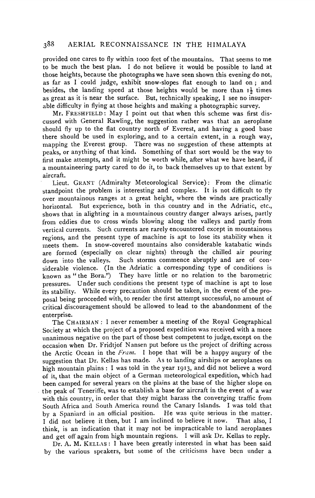### 388 AEKlAL RECONNAISSANCE IN THE HIMALAYA

provided one cares to fly within **1000** feet of the mountains. That seems to me to be much the best plan. I do not believe it would be possible to land at those heights, because the photographs we have seen shown this evening do not, as far as I could judge, exhibit snow-slopes flat enough to land on; and besides, the landing speed at those heights would be more than  $I^{\frac{1}{2}}$  times as great as it is near the surface. But, technically speaking, I see no insuperable difficulty in flying at those heights and making a photographic survey.

Mr. FRESHYIELD: May I point out that when this scheme was first discussed with General Rawling, the suggestion rather was that an aeroplane should fly up to the flat country north of Everest, and having a good base there should be used in exploring, and to a certain extent, in a rough way, mapping the Everest group. There was no suggestion of these attempts at peaks, or anything of that kind. Something of that sort would be the way to first make attempts, and it might be worth while, after what we have heard, if a mountaineering party cared to do it, to back themselves up to that extent by aircraft.

Lieut. GRANT (Admiralty Meteorological Service): From the climatic standpoint the problem is interesting and complex. It is not difficult to fly over mountainous ranges at a great height, where the winds are practically horizontal. Rut experience, both in this country and in the Adriatic, etc., shows that in alighting in a mountainous country danger always arises, partly from eddies due to cross winds blowing along the valleys and partly from vertical currents. Such currents are rarely encountered except in mountainous regions, and the present type of machine is apt to lose its stability when it meets them. In snow-covered mountains also considerable katabatic winds are formed (especially on clear nights) through the chilled air pouring down into the valleys. Such storms commence abruptly and are of considerable violence. (In the Adriatic a corresponding type of conditions is known as "the Bora.") They have little or no relation to the barometric They have little or no relation to the barometric pressures. Under such conditions the present type of machine is apt to lose its stability. While every precaution should be taken, in the event of the proposal being proceeded with, to render the first attempt successful, no amount of critical discouragement should be allowed to lead to the abandonment of the enterprise.

The CHAIRMAN : I never rcmember a meeting of the Royal Geographical Society at which the project of a proposed expedition was received with a more unanimous negative on the part of those best competent to judge, except on the occasion when Dr. Fridtjof Nansen put before us the project of drifting across the Arctic Ocean in the *Fram*. I hope that will be a happy augury of the suggestion that Dr. Kellas has made. As to landing airships or aeroplanes on high mountain plains : I was told in the year **1913,** and did not believe a word **of** it, that thc main object of a German meteorological expedition, which had been camped for several years on the plains at the base of the higher slope on the peak of Teneriffe, was to establish a base for aircraft in the event of a war with this country, in order that they might harass the converging traffic from South Africa and South America round the Canary Islands. I was told that by a Spaniard in an official position. He was quite serious in the matter. I did not believe it then, but I am inclined to believe it now. That also, I think, is an indication that it may not be impracticable to land aeroplanes and get off again from high mountain regions. I will ask Dr. Kellas to reply.

Dr. A. M. KELLAS: I have been greatly interested in what has been said by the various speakers, but some of the criticisms have been under a